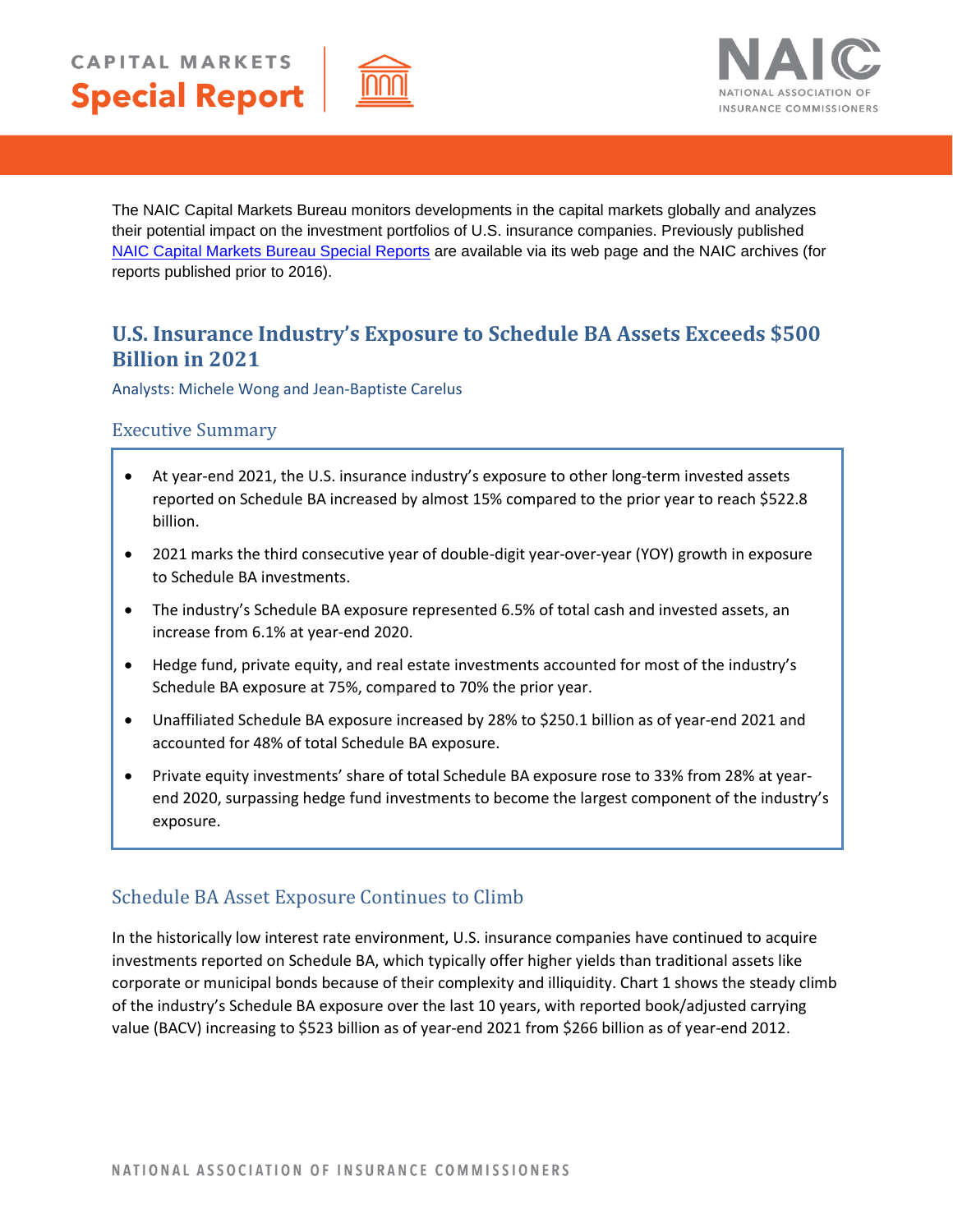



The NAIC Capital Markets Bureau monitors developments in the capital markets globally and analyzes their potential impact on the investment portfolios of U.S. insurance companies. Previously published [NAIC Capital Markets Bureau Special Reports](https://content.naic.org/capital-markets-bureau) are available via its web page and the NAIC archives (for reports published prior to 2016).

# **U.S. Insurance Industry's Exposure to Schedule BA Assets Exceeds \$500 Billion in 2021**

Analysts: Michele Wong and Jean-Baptiste Carelus

## Executive Summary

- At year-end 2021, the U.S. insurance industry's exposure to other long-term invested assets reported on Schedule BA increased by almost 15% compared to the prior year to reach \$522.8 billion.
- 2021 marks the third consecutive year of double-digit year-over-year (YOY) growth in exposure to Schedule BA investments.
- The industry's Schedule BA exposure represented 6.5% of total cash and invested assets, an increase from 6.1% at year-end 2020.
- Hedge fund, private equity, and real estate investments accounted for most of the industry's Schedule BA exposure at 75%, compared to 70% the prior year.
- Unaffiliated Schedule BA exposure increased by 28% to \$250.1 billion as of year-end 2021 and accounted for 48% of total Schedule BA exposure.
- Private equity investments' share of total Schedule BA exposure rose to 33% from 28% at yearend 2020, surpassing hedge fund investments to become the largest component of the industry's exposure.

## Schedule BA Asset Exposure Continues to Climb

In the historically low interest rate environment, U.S. insurance companies have continued to acquire investments reported on Schedule BA, which typically offer higher yields than traditional assets like corporate or municipal bonds because of their complexity and illiquidity. Chart 1 shows the steady climb of the industry's Schedule BA exposure over the last 10 years, with reported book/adjusted carrying value (BACV) increasing to \$523 billion as of year-end 2021 from \$266 billion as of year-end 2012.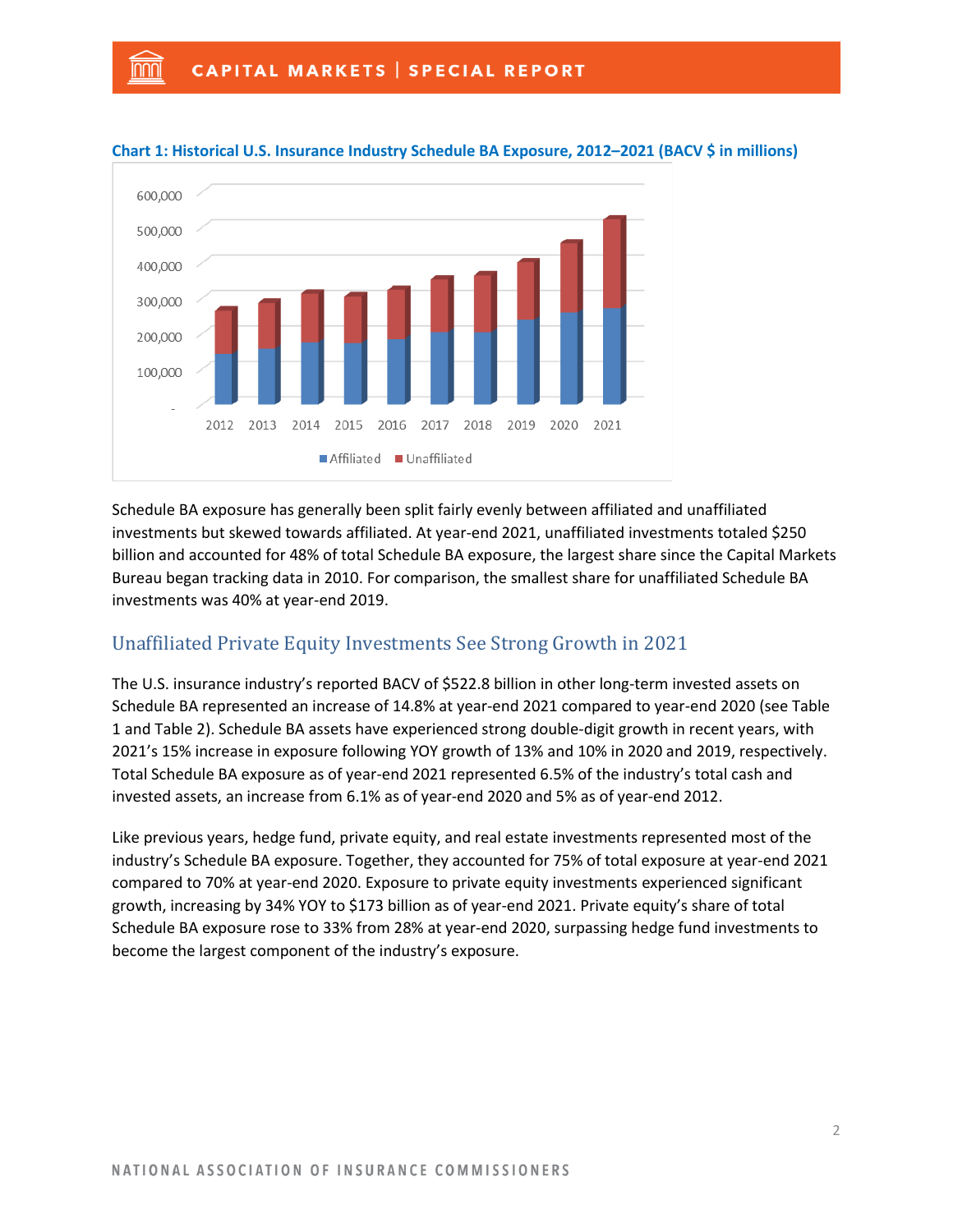nnn



#### **Chart 1: Historical U.S. Insurance Industry Schedule BA Exposure, 2012–2021 (BACV \$ in millions)**

Schedule BA exposure has generally been split fairly evenly between affiliated and unaffiliated investments but skewed towards affiliated. At year-end 2021, unaffiliated investments totaled \$250 billion and accounted for 48% of total Schedule BA exposure, the largest share since the Capital Markets Bureau began tracking data in 2010. For comparison, the smallest share for unaffiliated Schedule BA investments was 40% at year-end 2019.

## Unaffiliated Private Equity Investments See Strong Growth in 2021

The U.S. insurance industry's reported BACV of \$522.8 billion in other long-term invested assets on Schedule BA represented an increase of 14.8% at year-end 2021 compared to year-end 2020 (see Table 1 and Table 2). Schedule BA assets have experienced strong double-digit growth in recent years, with 2021's 15% increase in exposure following YOY growth of 13% and 10% in 2020 and 2019, respectively. Total Schedule BA exposure as of year-end 2021 represented 6.5% of the industry's total cash and invested assets, an increase from 6.1% as of year-end 2020 and 5% as of year-end 2012.

Like previous years, hedge fund, private equity, and real estate investments represented most of the industry's Schedule BA exposure. Together, they accounted for 75% of total exposure at year-end 2021 compared to 70% at year-end 2020. Exposure to private equity investments experienced significant growth, increasing by 34% YOY to \$173 billion as of year-end 2021. Private equity's share of total Schedule BA exposure rose to 33% from 28% at year-end 2020, surpassing hedge fund investments to become the largest component of the industry's exposure.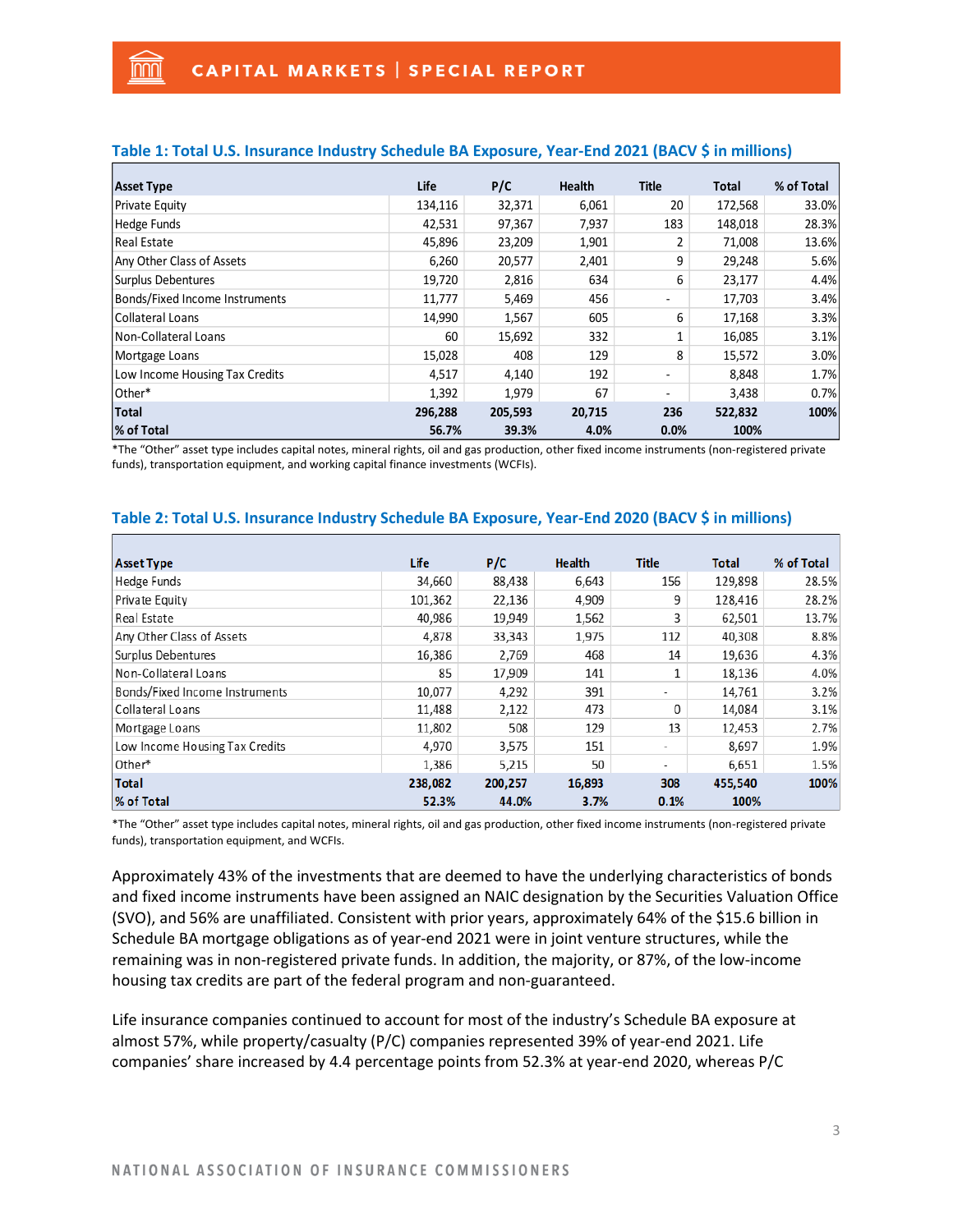nnn

| <b>Asset Type</b>              | Life    | P/C     | Health | <b>Title</b>             | <b>Total</b> | % of Total |
|--------------------------------|---------|---------|--------|--------------------------|--------------|------------|
| Private Equity                 | 134,116 | 32,371  | 6,061  | 20                       | 172,568      | 33.0%      |
| Hedge Funds                    | 42,531  | 97,367  | 7,937  | 183                      | 148,018      | 28.3%      |
| <b>Real Estate</b>             | 45,896  | 23,209  | 1,901  | 2                        | 71,008       | 13.6%      |
| Any Other Class of Assets      | 6,260   | 20,577  | 2,401  | 9                        | 29,248       | 5.6%       |
| Surplus Debentures             | 19,720  | 2,816   | 634    | 6                        | 23,177       | 4.4%       |
| Bonds/Fixed Income Instruments | 11,777  | 5,469   | 456    | ٠                        | 17,703       | 3.4%       |
| Collateral Loans               | 14,990  | 1,567   | 605    | 6                        | 17,168       | 3.3%       |
| Non-Collateral Loans           | 60      | 15,692  | 332    | 1                        | 16,085       | 3.1%       |
| Mortgage Loans                 | 15,028  | 408     | 129    | 8                        | 15,572       | 3.0%       |
| Low Income Housing Tax Credits | 4,517   | 4,140   | 192    | ۰                        | 8,848        | 1.7%       |
| lOther*                        | 1,392   | 1,979   | 67     | $\overline{\phantom{0}}$ | 3,438        | 0.7%       |
| Total                          | 296,288 | 205,593 | 20,715 | 236                      | 522,832      | 100%       |
| % of Total                     | 56.7%   | 39.3%   | 4.0%   | 0.0%                     | 100%         |            |

#### **Table 1: Total U.S. Insurance Industry Schedule BA Exposure, Year-End 2021 (BACV \$ in millions)**

\*The "Other" asset type includes capital notes, mineral rights, oil and gas production, other fixed income instruments (non-registered private funds), transportation equipment, and working capital finance investments (WCFIs).

| <b>Asset Type</b>              | Life    | P/C     | <b>Health</b> | <b>Title</b> | <b>Total</b> | % of Total |
|--------------------------------|---------|---------|---------------|--------------|--------------|------------|
| <b>Hedge Funds</b>             | 34,660  | 88,438  | 6,643         | 156          | 129,898      | 28.5%      |
| Private Equity                 | 101,362 | 22,136  | 4,909         | 9            | 128,416      | 28.2%      |
| Real Estate                    | 40,986  | 19,949  | 1,562         | 3            | 62,501       | 13.7%      |
| Any Other Class of Assets      | 4,878   | 33,343  | 1,975         | 112          | 40,308       | 8.8%       |
| Surplus Debentures             | 16,386  | 2,769   | 468           | 14           | 19,636       | 4.3%       |
| Non-Collateral Loans           | 85      | 17,909  | 141           | $\mathbf{1}$ | 18,136       | 4.0%       |
| Bonds/Fixed Income Instruments | 10,077  | 4,292   | 391           | ۰.           | 14,761       | 3.2%       |
| Collateral Loans               | 11,488  | 2,122   | 473           | 0            | 14,084       | 3.1%       |
| Mortgage Loans                 | 11,802  | 508     | 129           | 13           | 12,453       | 2.7%       |
| Low Income Housing Tax Credits | 4,970   | 3,575   | 151           | -            | 8,697        | 1.9%       |
| Other*                         | 1,386   | 5,215   | 50            | ٠            | 6,651        | 1.5%       |
| <b>Total</b>                   | 238,082 | 200,257 | 16,893        | 308          | 455,540      | 100%       |
| % of Total                     | 52.3%   | 44.0%   | 3.7%          | 0.1%         | 100%         |            |

#### **Table 2: Total U.S. Insurance Industry Schedule BA Exposure, Year-End 2020 (BACV \$ in millions)**

\*The "Other" asset type includes capital notes, mineral rights, oil and gas production, other fixed income instruments (non-registered private funds), transportation equipment, and WCFIs.

Approximately 43% of the investments that are deemed to have the underlying characteristics of bonds and fixed income instruments have been assigned an NAIC designation by the Securities Valuation Office (SVO), and 56% are unaffiliated. Consistent with prior years, approximately 64% of the \$15.6 billion in Schedule BA mortgage obligations as of year-end 2021 were in joint venture structures, while the remaining was in non-registered private funds. In addition, the majority, or 87%, of the low-income housing tax credits are part of the federal program and non-guaranteed.

Life insurance companies continued to account for most of the industry's Schedule BA exposure at almost 57%, while property/casualty (P/C) companies represented 39% of year-end 2021. Life companies' share increased by 4.4 percentage points from 52.3% at year-end 2020, whereas P/C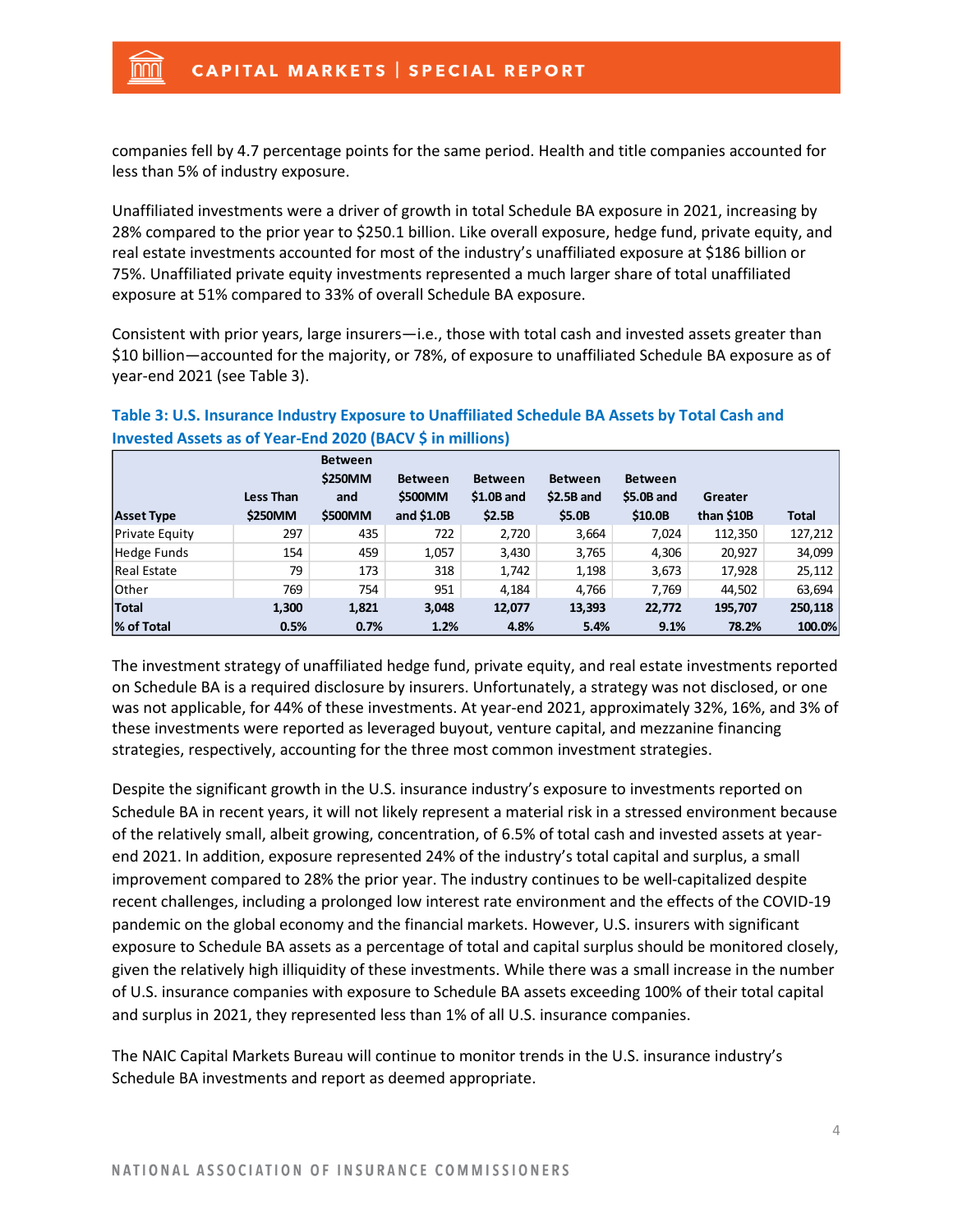nnn

companies fell by 4.7 percentage points for the same period. Health and title companies accounted for less than 5% of industry exposure.

Unaffiliated investments were a driver of growth in total Schedule BA exposure in 2021, increasing by 28% compared to the prior year to \$250.1 billion. Like overall exposure, hedge fund, private equity, and real estate investments accounted for most of the industry's unaffiliated exposure at \$186 billion or 75%. Unaffiliated private equity investments represented a much larger share of total unaffiliated exposure at 51% compared to 33% of overall Schedule BA exposure.

Consistent with prior years, large insurers—i.e., those with total cash and invested assets greater than \$10 billion—accounted for the majority, or 78%, of exposure to unaffiliated Schedule BA exposure as of year-end 2021 (see Table 3).

| <b>Asset Type</b>     | Less Than<br>\$250MM | <b>Between</b><br>\$250MM<br>and<br>\$500MM | <b>Between</b><br><b>\$500MM</b><br>and $$1.0B$ | <b>Between</b><br>$$1.0B$ and<br>\$2.5B | <b>Between</b><br>$$2.5B$ and<br>\$5.0B | <b>Between</b><br>\$5.0B and<br>\$10.0B | Greater<br>than \$10B | <b>Total</b> |
|-----------------------|----------------------|---------------------------------------------|-------------------------------------------------|-----------------------------------------|-----------------------------------------|-----------------------------------------|-----------------------|--------------|
| <b>Private Equity</b> | 297                  | 435                                         | 722                                             | 2,720                                   | 3,664                                   | 7,024                                   | 112,350               | 127,212      |
| <b>Hedge Funds</b>    | 154                  | 459                                         | 1,057                                           | 3,430                                   | 3,765                                   | 4,306                                   | 20,927                | 34,099       |
| <b>Real Estate</b>    | 79                   | 173                                         | 318                                             | 1,742                                   | 1,198                                   | 3,673                                   | 17,928                | 25,112       |
| Other                 | 769                  | 754                                         | 951                                             | 4,184                                   | 4,766                                   | 7,769                                   | 44,502                | 63,694       |
| <b>Total</b>          | 1,300                | 1,821                                       | 3,048                                           | 12,077                                  | 13,393                                  | 22,772                                  | 195,707               | 250,118      |
| % of Total            | 0.5%                 | 0.7%                                        | 1.2%                                            | 4.8%                                    | 5.4%                                    | 9.1%                                    | 78.2%                 | 100.0%       |

## **Table 3: U.S. Insurance Industry Exposure to Unaffiliated Schedule BA Assets by Total Cash and Invested Assets as of Year-End 2020 (BACV \$ in millions)**

The investment strategy of unaffiliated hedge fund, private equity, and real estate investments reported on Schedule BA is a required disclosure by insurers. Unfortunately, a strategy was not disclosed, or one was not applicable, for 44% of these investments. At year-end 2021, approximately 32%, 16%, and 3% of these investments were reported as leveraged buyout, venture capital, and mezzanine financing strategies, respectively, accounting for the three most common investment strategies.

Despite the significant growth in the U.S. insurance industry's exposure to investments reported on Schedule BA in recent years, it will not likely represent a material risk in a stressed environment because of the relatively small, albeit growing, concentration, of 6.5% of total cash and invested assets at yearend 2021. In addition, exposure represented 24% of the industry's total capital and surplus, a small improvement compared to 28% the prior year. The industry continues to be well-capitalized despite recent challenges, including a prolonged low interest rate environment and the effects of the COVID-19 pandemic on the global economy and the financial markets. However, U.S. insurers with significant exposure to Schedule BA assets as a percentage of total and capital surplus should be monitored closely, given the relatively high illiquidity of these investments. While there was a small increase in the number of U.S. insurance companies with exposure to Schedule BA assets exceeding 100% of their total capital and surplus in 2021, they represented less than 1% of all U.S. insurance companies.

The NAIC Capital Markets Bureau will continue to monitor trends in the U.S. insurance industry's Schedule BA investments and report as deemed appropriate.